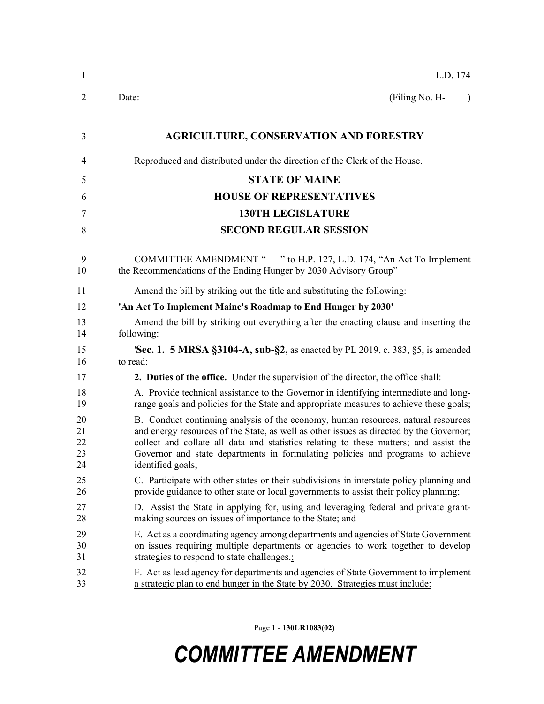| $\mathbf{1}$               | L.D. 174                                                                                                                                                                                                                                                                                                                                                                     |
|----------------------------|------------------------------------------------------------------------------------------------------------------------------------------------------------------------------------------------------------------------------------------------------------------------------------------------------------------------------------------------------------------------------|
| 2                          | Date:<br>(Filing No. H-<br>$\lambda$                                                                                                                                                                                                                                                                                                                                         |
| 3                          | <b>AGRICULTURE, CONSERVATION AND FORESTRY</b>                                                                                                                                                                                                                                                                                                                                |
| 4                          | Reproduced and distributed under the direction of the Clerk of the House.                                                                                                                                                                                                                                                                                                    |
| 5                          | <b>STATE OF MAINE</b>                                                                                                                                                                                                                                                                                                                                                        |
| 6                          | <b>HOUSE OF REPRESENTATIVES</b>                                                                                                                                                                                                                                                                                                                                              |
| 7                          | <b>130TH LEGISLATURE</b>                                                                                                                                                                                                                                                                                                                                                     |
| 8                          | <b>SECOND REGULAR SESSION</b>                                                                                                                                                                                                                                                                                                                                                |
| 9<br>10                    | COMMITTEE AMENDMENT " " to H.P. 127, L.D. 174, "An Act To Implement<br>the Recommendations of the Ending Hunger by 2030 Advisory Group"                                                                                                                                                                                                                                      |
| 11                         | Amend the bill by striking out the title and substituting the following:                                                                                                                                                                                                                                                                                                     |
| 12                         | 'An Act To Implement Maine's Roadmap to End Hunger by 2030'                                                                                                                                                                                                                                                                                                                  |
| 13<br>14                   | Amend the bill by striking out everything after the enacting clause and inserting the<br>following:                                                                                                                                                                                                                                                                          |
| 15<br>16                   | <b>Sec. 1. 5 MRSA §3104-A, sub-§2,</b> as enacted by PL 2019, c. 383, §5, is amended<br>to read:                                                                                                                                                                                                                                                                             |
| 17                         | 2. Duties of the office. Under the supervision of the director, the office shall:                                                                                                                                                                                                                                                                                            |
| 18<br>19                   | A. Provide technical assistance to the Governor in identifying intermediate and long-<br>range goals and policies for the State and appropriate measures to achieve these goals;                                                                                                                                                                                             |
| 20<br>21<br>22<br>23<br>24 | B. Conduct continuing analysis of the economy, human resources, natural resources<br>and energy resources of the State, as well as other issues as directed by the Governor;<br>collect and collate all data and statistics relating to these matters; and assist the<br>Governor and state departments in formulating policies and programs to achieve<br>identified goals; |
| 25<br>26                   | C. Participate with other states or their subdivisions in interstate policy planning and<br>provide guidance to other state or local governments to assist their policy planning;                                                                                                                                                                                            |
| 27<br>28                   | D. Assist the State in applying for, using and leveraging federal and private grant-<br>making sources on issues of importance to the State; and                                                                                                                                                                                                                             |
| 29<br>30<br>31             | E. Act as a coordinating agency among departments and agencies of State Government<br>on issues requiring multiple departments or agencies to work together to develop<br>strategies to respond to state challenges.                                                                                                                                                         |
| 32<br>33                   | F. Act as lead agency for departments and agencies of State Government to implement<br>a strategic plan to end hunger in the State by 2030. Strategies must include:                                                                                                                                                                                                         |

Page 1 - **130LR1083(02)**

## *COMMITTEE AMENDMENT*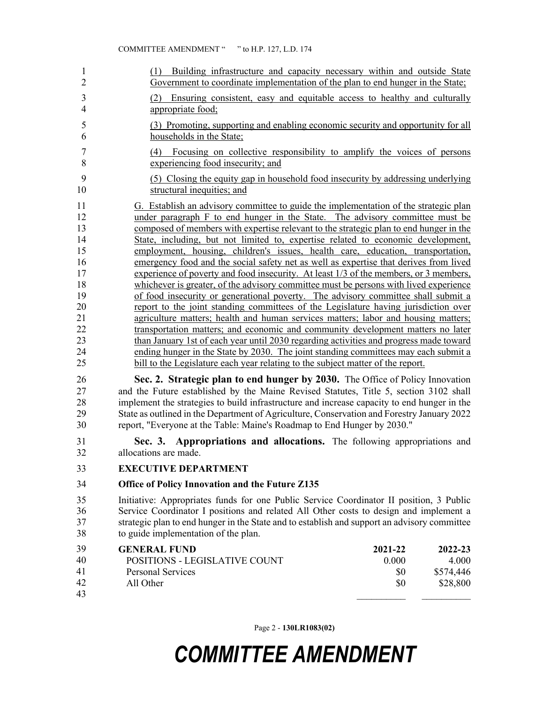| 1<br>$\overline{2}$                                                                          | Building infrastructure and capacity necessary within and outside State<br>(1)<br>Government to coordinate implementation of the plan to end hunger in the State;                                                                                                                                                                                                                                                                                                                                                                                                                                                                                                                                                                                                                                                                                                                                                                                                                                                                                                                                                                                                                                                                                                                                                                                                                                                          |                                |                                           |
|----------------------------------------------------------------------------------------------|----------------------------------------------------------------------------------------------------------------------------------------------------------------------------------------------------------------------------------------------------------------------------------------------------------------------------------------------------------------------------------------------------------------------------------------------------------------------------------------------------------------------------------------------------------------------------------------------------------------------------------------------------------------------------------------------------------------------------------------------------------------------------------------------------------------------------------------------------------------------------------------------------------------------------------------------------------------------------------------------------------------------------------------------------------------------------------------------------------------------------------------------------------------------------------------------------------------------------------------------------------------------------------------------------------------------------------------------------------------------------------------------------------------------------|--------------------------------|-------------------------------------------|
| 3<br>4                                                                                       | Ensuring consistent, easy and equitable access to healthy and culturally<br>(2)<br>appropriate food:                                                                                                                                                                                                                                                                                                                                                                                                                                                                                                                                                                                                                                                                                                                                                                                                                                                                                                                                                                                                                                                                                                                                                                                                                                                                                                                       |                                |                                           |
| 5<br>6                                                                                       | (3) Promoting, supporting and enabling economic security and opportunity for all<br>households in the State;                                                                                                                                                                                                                                                                                                                                                                                                                                                                                                                                                                                                                                                                                                                                                                                                                                                                                                                                                                                                                                                                                                                                                                                                                                                                                                               |                                |                                           |
| 7<br>8                                                                                       | (4) Focusing on collective responsibility to amplify the voices of persons<br>experiencing food insecurity; and                                                                                                                                                                                                                                                                                                                                                                                                                                                                                                                                                                                                                                                                                                                                                                                                                                                                                                                                                                                                                                                                                                                                                                                                                                                                                                            |                                |                                           |
| 9<br>10                                                                                      | (5) Closing the equity gap in household food insecurity by addressing underlying<br>structural inequities; and                                                                                                                                                                                                                                                                                                                                                                                                                                                                                                                                                                                                                                                                                                                                                                                                                                                                                                                                                                                                                                                                                                                                                                                                                                                                                                             |                                |                                           |
| 11<br>12<br>13<br>14<br>15<br>16<br>17<br>18<br>19<br>20<br>21<br>22<br>23<br>24<br>25<br>26 | G. Establish an advisory committee to guide the implementation of the strategic plan<br>under paragraph F to end hunger in the State. The advisory committee must be<br>composed of members with expertise relevant to the strategic plan to end hunger in the<br>State, including, but not limited to, expertise related to economic development,<br>employment, housing, children's issues, health care, education, transportation,<br>emergency food and the social safety net as well as expertise that derives from lived<br>experience of poverty and food insecurity. At least 1/3 of the members, or 3 members,<br>whichever is greater, of the advisory committee must be persons with lived experience<br>of food insecurity or generational poverty. The advisory committee shall submit a<br>report to the joint standing committees of the Legislature having jurisdiction over<br>agriculture matters; health and human services matters; labor and housing matters;<br>transportation matters; and economic and community development matters no later<br>than January 1st of each year until 2030 regarding activities and progress made toward<br>ending hunger in the State by 2030. The joint standing committees may each submit a<br>bill to the Legislature each year relating to the subject matter of the report.<br>Sec. 2. Strategic plan to end hunger by 2030. The Office of Policy Innovation |                                |                                           |
| 27<br>28<br>29<br>30                                                                         | and the Future established by the Maine Revised Statutes, Title 5, section 3102 shall<br>implement the strategies to build infrastructure and increase capacity to end hunger in the<br>State as outlined in the Department of Agriculture, Conservation and Forestry January 2022<br>report, "Everyone at the Table: Maine's Roadmap to End Hunger by 2030."                                                                                                                                                                                                                                                                                                                                                                                                                                                                                                                                                                                                                                                                                                                                                                                                                                                                                                                                                                                                                                                              |                                |                                           |
| 31<br>32                                                                                     | Sec. 3. Appropriations and allocations. The following appropriations and<br>allocations are made.                                                                                                                                                                                                                                                                                                                                                                                                                                                                                                                                                                                                                                                                                                                                                                                                                                                                                                                                                                                                                                                                                                                                                                                                                                                                                                                          |                                |                                           |
| 33                                                                                           | <b>EXECUTIVE DEPARTMENT</b>                                                                                                                                                                                                                                                                                                                                                                                                                                                                                                                                                                                                                                                                                                                                                                                                                                                                                                                                                                                                                                                                                                                                                                                                                                                                                                                                                                                                |                                |                                           |
| 34                                                                                           | Office of Policy Innovation and the Future Z135                                                                                                                                                                                                                                                                                                                                                                                                                                                                                                                                                                                                                                                                                                                                                                                                                                                                                                                                                                                                                                                                                                                                                                                                                                                                                                                                                                            |                                |                                           |
| 35<br>36<br>37<br>38                                                                         | Initiative: Appropriates funds for one Public Service Coordinator II position, 3 Public<br>Service Coordinator I positions and related All Other costs to design and implement a<br>strategic plan to end hunger in the State and to establish and support an advisory committee<br>to guide implementation of the plan.                                                                                                                                                                                                                                                                                                                                                                                                                                                                                                                                                                                                                                                                                                                                                                                                                                                                                                                                                                                                                                                                                                   |                                |                                           |
| 39<br>40<br>41<br>42<br>43                                                                   | <b>GENERAL FUND</b><br>POSITIONS - LEGISLATIVE COUNT<br><b>Personal Services</b><br>All Other                                                                                                                                                                                                                                                                                                                                                                                                                                                                                                                                                                                                                                                                                                                                                                                                                                                                                                                                                                                                                                                                                                                                                                                                                                                                                                                              | 2021-22<br>0.000<br>\$0<br>\$0 | 2022-23<br>4.000<br>\$574,446<br>\$28,800 |

Page 2 - **130LR1083(02)**

## *COMMITTEE AMENDMENT*